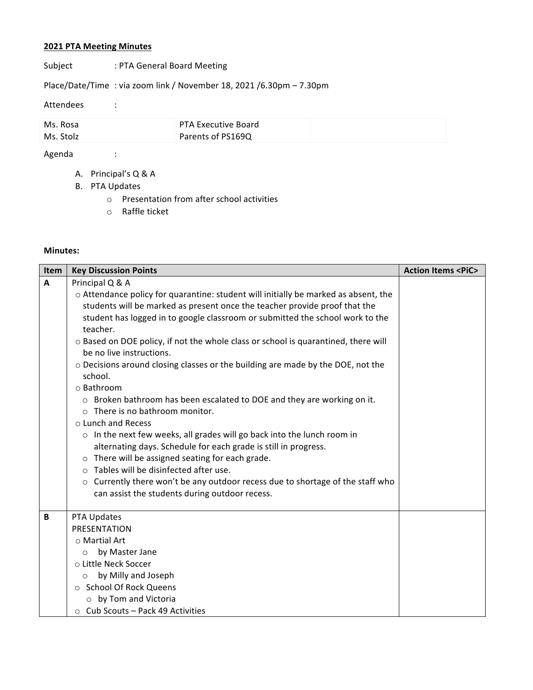## **2021 PTA Meeting Minutes**

Subject : PTA General Board Meeting

Place/Date/Time : via zoom link / November 18, 2021 /6.30pm – 7.30pm

## Attendees :

| Ms. Rosa  | PTA Executive Board |
|-----------|---------------------|
| Ms. Stolz | Parents of PS169Q   |

Agenda :

- A. Principal's Q & A
- B. PTA Updates
	- $\circ$  Presentation from after school activities
	- o Raffle ticket

## **Minutes:**

| Item         | <b>Key Discussion Points</b>                                                                                                                                                                                                                                                                                                                                                                                                                                                                                                                                                                                                                                                                                                                                                                                                                                                                                                                                                                                                               | <b>Action Items <pic></pic></b> |
|--------------|--------------------------------------------------------------------------------------------------------------------------------------------------------------------------------------------------------------------------------------------------------------------------------------------------------------------------------------------------------------------------------------------------------------------------------------------------------------------------------------------------------------------------------------------------------------------------------------------------------------------------------------------------------------------------------------------------------------------------------------------------------------------------------------------------------------------------------------------------------------------------------------------------------------------------------------------------------------------------------------------------------------------------------------------|---------------------------------|
| $\mathbf{A}$ | Principal Q & A<br>o Attendance policy for quarantine: student will initially be marked as absent, the<br>students will be marked as present once the teacher provide proof that the<br>student has logged in to google classroom or submitted the school work to the<br>teacher.<br>o Based on DOE policy, if not the whole class or school is quarantined, there will<br>be no live instructions.<br>o Decisions around closing classes or the building are made by the DOE, not the<br>school.<br>o Bathroom<br>$\circ$ Broken bathroom has been escalated to DOE and they are working on it.<br>o There is no bathroom monitor.<br>o Lunch and Recess<br>o In the next few weeks, all grades will go back into the lunch room in<br>alternating days. Schedule for each grade is still in progress.<br>o There will be assigned seating for each grade.<br>o Tables will be disinfected after use.<br>o Currently there won't be any outdoor recess due to shortage of the staff who<br>can assist the students during outdoor recess. |                                 |
| B            | PTA Updates<br>PRESENTATION<br>o Martial Art<br>by Master Jane<br>$\circ$<br>o Little Neck Soccer<br>by Milly and Joseph<br>$\circ$<br>○ School Of Rock Queens<br>$\circ$ by Tom and Victoria<br>$\circ$ Cub Scouts - Pack 49 Activities                                                                                                                                                                                                                                                                                                                                                                                                                                                                                                                                                                                                                                                                                                                                                                                                   |                                 |